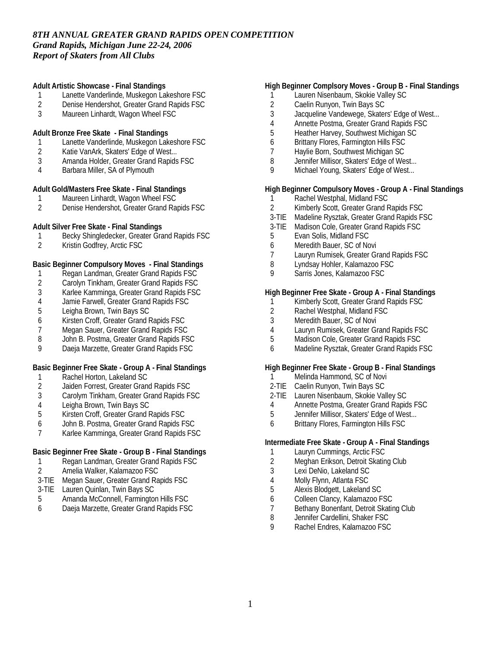**Adult Artistic Showcase - Final Standings**

- 1 Lanette Vanderlinde, Muskegon Lakeshore FSC
- 2 Denise Hendershot, Greater Grand Rapids FSC<br>3 Maureen Linhardt. Wagon Wheel FSC
- Maureen Linhardt, Wagon Wheel FSC
- **Adult Bronze Free Skate Final Standings**
- 1 Lanette Vanderlinde, Muskegon Lakeshore FSC
- 2 Katie VanArk, Skaters' Edge of West...
- 3 Amanda Holder, Greater Grand Rapids FSC
- 4 Barbara Miller, SA of Plymouth

**Adult Gold/Masters Free Skate - Final Standings**

- 1 Maureen Linhardt, Wagon Wheel FSC<br>2 Denise Hendershot. Greater Grand Ra
- 2 Denise Hendershot, Greater Grand Rapids FSC

**Adult Silver Free Skate - Final Standings**

- 1 Becky Shingledecker, Greater Grand Rapids FSC<br>2 Kristin Godfrev. Arctic FSC
- 2 Kristin Godfrey, Arctic FSC

**Basic Beginner Compulsory Moves - Final Standings**

- 1 Regan Landman, Greater Grand Rapids FSC<br>2 Carolyn Tinkham, Greater Grand Rapids FSC
- 2 Carolyn Tinkham, Greater Grand Rapids FSC<br>3 Karlee Kamminga, Greater Grand Rapids FSC
- 3 Karlee Kamminga, Greater Grand Rapids FSC
- Jamie Farwell, Greater Grand Rapids FSC
- 5 Leigha Brown, Twin Bays SC
- 6 Kirsten Croff, Greater Grand Rapids FSC
- 7 Megan Sauer, Greater Grand Rapids FSC<br>8 John B. Postma. Greater Grand Rapids FS
- John B. Postma, Greater Grand Rapids FSC
- 9 Daeja Marzette, Greater Grand Rapids FSC

**Basic Beginner Free Skate - Group A - Final Standings**

- 1 Rachel Horton, Lakeland SC<br>2 Jaiden Forrest, Greater Gran
- 2 Jaiden Forrest, Greater Grand Rapids FSC
- 3 Carolym Tinkham, Greater Grand Rapids FSC
- 4 Leigha Brown, Twin Bays SC<br>5 Kirsten Croff, Greater Grand F
- 5 Kirsten Croff, Greater Grand Rapids FSC
- 6 John B. Postma, Greater Grand Rapids FSC
- 7 Karlee Kamminga, Greater Grand Rapids FSC

**Basic Beginner Free Skate - Group B - Final Standings**

- 1 Regan Landman, Greater Grand Rapids FSC
- 2 Amelia Walker, Kalamazoo FSC
- 3-TIE Megan Sauer, Greater Grand Rapids FSC
- 3-TIE Lauren Quinlan, Twin Bays SC
- 5 Amanda McConnell, Farmington Hills FSC
- 6 Daeja Marzette, Greater Grand Rapids FSC

**High Beginner Complsory Moves - Group B - Final Standings**

- 1 Lauren Nisenbaum, Skokie Valley SC
- 2 Caelin Runyon, Twin Bays SC<br>3 Jacqueline Vandewege, Skater
- Jacqueline Vandewege, Skaters' Edge of West...
- 4 Annette Postma, Greater Grand Rapids FSC
- 5 Heather Harvey, Southwest Michigan SC
- 6 Brittany Flores, Farmington Hills FSC
- 7 Haylie Born, Southwest Michigan SC
- 8 Jennifer Millisor, Skaters' Edge of West...
- 9 Michael Young, Skaters' Edge of West...

**High Beginner Compulsory Moves - Group A - Final Standings**

- 1 Rachel Westphal, Midland FSC
- 2 Kimberly Scott, Greater Grand Rapids FSC
- 3-TIE Madeline Rysztak, Greater Grand Rapids FSC
- 3-TIE Madison Cole, Greater Grand Rapids FSC
- 5 Evan Solis, Midland FSC
- 6 Meredith Bauer, SC of Novi
- 7 Lauryn Rumisek, Greater Grand Rapids FSC
- 8 Lyndsay Hohler, Kalamazoo FSC
- 9 Sarris Jones, Kalamazoo FSC

**High Beginner Free Skate - Group A - Final Standings**

- 1 Kimberly Scott, Greater Grand Rapids FSC
- 2 Rachel Westphal, Midland FSC<br>3 Meredith Bauer, SC of Novi
- Meredith Bauer, SC of Novi
- 4 Lauryn Rumisek, Greater Grand Rapids FSC
- 5 Madison Cole, Greater Grand Rapids FSC
- 6 Madeline Rysztak, Greater Grand Rapids FSC

**High Beginner Free Skate - Group B - Final Standings**

- 1 Melinda Hammond, SC of Novi
- 2-TIE Caelin Runyon, Twin Bays SC
- 2-TIE Lauren Nisenbaum, Skokie Valley SC
- 4 Annette Postma, Greater Grand Rapids FSC<br>5 Jennifer Millisor, Skaters' Edge of West...
- Jennifer Millisor, Skaters' Edge of West...
- 6 Brittany Flores, Farmington Hills FSC

**Intermediate Free Skate - Group A - Final Standings**

- 1 Lauryn Cummings, Arctic FSC
- 2 Meghan Erikson, Detroit Skating Club
- 3 Lexi DeNio, Lakeland SC
- 4 Molly Flynn, Atlanta FSC
- 5 Alexis Blodgett, Lakeland SC
- 6 Colleen Clancy, Kalamazoo FSC
- 7 Bethany Bonenfant, Detroit Skating Club<br>8 Jennifer Cardellini, Shaker FSC
- Jennifer Cardellini, Shaker FSC
- 9 Rachel Endres, Kalamazoo FSC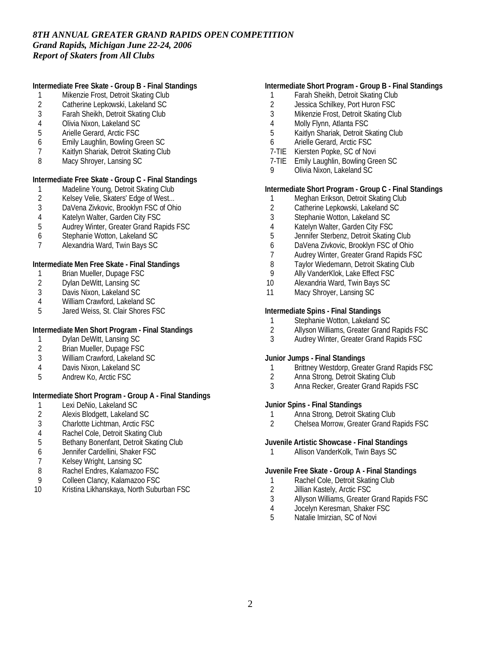**Intermediate Free Skate - Group B - Final Standings**

- 1 Mikenzie Frost, Detroit Skating Club
- 2 Catherine Lepkowski, Lakeland SC<br>3 Farah Sheikh. Detroit Skating Club
- 3 Farah Sheikh, Detroit Skating Club
- 4 Olivia Nixon, Lakeland SC
- 5 Arielle Gerard, Arctic FSC
- 6 Emily Laughlin, Bowling Green SC
- 7 Kaitlyn Shariak, Detroit Skating Club
- 8 Macy Shroyer, Lansing SC

**Intermediate Free Skate - Group C - Final Standings**

- 1 Madeline Young, Detroit Skating Club<br>2 Kelsey Velie, Skaters' Edge of West...
- 2 Kelsey Velie, Skaters' Edge of West...<br>3 DaVena Zivkovic. Brooklyn FSC of Oh
- DaVena Zivkovic, Brooklyn FSC of Ohio
- 
- 4 Katelyn Walter, Garden City FSC<br>5 Audrey Winter, Greater Grand Ra 5 Audrey Winter, Greater Grand Rapids FSC
- 6 Stephanie Wotton, Lakeland SC
- 7 Alexandria Ward, Twin Bays SC

**Intermediate Men Free Skate - Final Standings**

- 1 Brian Mueller, Dupage FSC<br>2 Dylan DeWitt, Lansing SC
- 2 Dylan DeWitt, Lansing SC<br>3 Davis Nixon, Lakeland SC
- 3 Davis Nixon, Lakeland SC<br>4 William Crawford, Lakeland
- William Crawford, Lakeland SC
- 5 Jared Weiss, St. Clair Shores FSC

**Intermediate Men Short Program - Final Standings**

- 1 Dylan DeWitt, Lansing SC
- 2 Brian Mueller, Dupage FSC<br>3 William Crawford, Lakeland
- William Crawford, Lakeland SC
- 4 Davis Nixon, Lakeland SC
- 5 Andrew Ko, Arctic FSC

**Intermediate Short Program - Group A - Final Standings**

- 
- 1 Lexi DeNio, Lakeland SC<br>2 Alexis Blodgett, Lakeland 2 Alexis Blodgett, Lakeland SC<br>3 Charlotte Lichtman, Arctic FS
- 3 Charlotte Lichtman, Arctic FSC
- 
- 4 Rachel Cole, Detroit Skating Club<br>5 Bethany Bonenfant, Detroit Skating 5 Bethany Bonenfant, Detroit Skating Club
- 6 Jennifer Cardellini, Shaker FSC
- 7 Kelsey Wright, Lansing SC
- 8 Rachel Endres, Kalamazoo FSC
- 9 Colleen Clancy, Kalamazoo FSC
- 10 Kristina Likhanskaya, North Suburban FSC

#### **Intermediate Short Program - Group B - Final Standings**

- 1 Farah Sheikh, Detroit Skating Club
- 2 Jessica Schilkey, Port Huron FSC<br>3 Mikenzie Frost. Detroit Skating Clu
- Mikenzie Frost, Detroit Skating Club
- 4 Molly Flynn, Atlanta FSC
- 5 Kaitlyn Shariak, Detroit Skating Club
- 6 Arielle Gerard, Arctic FSC
- 7-TIE Kiersten Popke, SC of Novi
- 7-TIE Emily Laughlin, Bowling Green SC
- 9 Olivia Nixon, Lakeland SC

**Intermediate Short Program - Group C - Final Standings**

- 1 Meghan Erikson, Detroit Skating Club<br>2 Catherine Lepkowski, Lakeland SC
- 2 Catherine Lepkowski, Lakeland SC
- 3 Stephanie Wotton, Lakeland SC
- 4 Katelyn Walter, Garden City FSC
- 5 Jennifer Sterbenz, Detroit Skating Club
- 6 DaVena Zivkovic, Brooklyn FSC of Ohio
- 7 Audrey Winter, Greater Grand Rapids FSC
- 8 Taylor Wiedemann, Detroit Skating Club
- 9 Ally VanderKlok, Lake Effect FSC
- 10 Alexandria Ward, Twin Bays SC
- 11 Macy Shroyer, Lansing SC

**Intermediate Spins - Final Standings**

- 1 Stephanie Wotton, Lakeland SC<br>2 Allyson Williams, Greater Grand
- 2 Allyson Williams, Greater Grand Rapids FSC
- 3 Audrey Winter, Greater Grand Rapids FSC

**Junior Jumps - Final Standings**

- 1 Brittney Westdorp, Greater Grand Rapids FSC
- 2 Anna Strong, Detroit Skating Club
- 3 Anna Recker, Greater Grand Rapids FSC

**Junior Spins - Final Standings**

- 1 Anna Strong, Detroit Skating Club<br>2 Chelsea Morrow, Greater Grand R
- 2 Chelsea Morrow, Greater Grand Rapids FSC

**Juvenile Artistic Showcase - Final Standings**

1 Allison VanderKolk, Twin Bays SC

**Juvenile Free Skate - Group A - Final Standings**

- 1 Rachel Cole, Detroit Skating Club
- 2 Jillian Kastely, Arctic FSC
- 3 Allyson Williams, Greater Grand Rapids FSC
- 4 Jocelyn Keresman, Shaker FSC<br>5 Natalie Imirzian, SC of Novi
- Natalie Imirzian, SC of Novi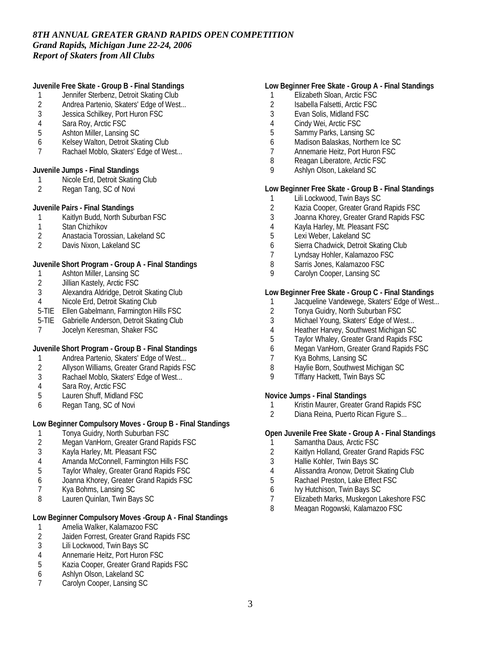**Juvenile Free Skate - Group B - Final Standings**

- 1 Jennifer Sterbenz, Detroit Skating Club
- 2 Andrea Partenio, Skaters' Edge of West...<br>3 Jessica Schilkev. Port Huron FSC
- Jessica Schilkey, Port Huron FSC
- 4 Sara Roy, Arctic FSC<br>5 Ashton Miller, Lansing
- 5 Ashton Miller, Lansing SC
- 6 Kelsey Walton, Detroit Skating Club
- 7 Rachael Moblo, Skaters' Edge of West...

**Juvenile Jumps - Final Standings**

- 1 Nicole Erd, Detroit Skating Club<br>2 Regan Tang, SC of Novi
- Regan Tang, SC of Novi

**Juvenile Pairs - Final Standings**

- 1 Kaitlyn Budd, North Suburban FSC
- 1 Stan Chizhikov<br>2 Anastacia Toros
- 2 Anastacia Torossian, Lakeland SC<br>2 Davis Nixon Lakeland SC
- 2 Davis Nixon, Lakeland SC

**Juvenile Short Program - Group A - Final Standings**

- 1 Ashton Miller, Lansing SC<br>2 Jillian Kastely, Arctic FSC
- 2 Jillian Kastely, Arctic FSC<br>3 Alexandra Aldridge, Detroi
- Alexandra Aldridge, Detroit Skating Club
- 4 Nicole Erd, Detroit Skating Club
- 5-TIE Ellen Gabelmann, Farmington Hills FSC
- 5-TIE Gabrielle Anderson, Detroit Skating Club
- 7 Jocelyn Keresman, Shaker FSC

**Juvenile Short Program - Group B - Final Standings**

- 1 Andrea Partenio, Skaters' Edge of West...<br>2 Allyson Williams. Greater Grand Rapids F.
- 2 Allyson Williams, Greater Grand Rapids FSC
- 3 Rachael Moblo, Skaters' Edge of West...
- 4 Sara Roy, Arctic FSC
- 5 Lauren Shuff, Midland FSC
- 6 Regan Tang, SC of Novi

**Low Beginner Compulsory Moves - Group B - Final Standings**

- 1 Tonya Guidry, North Suburban FSC<br>2 Megan VanHorn, Greater Grand Rap
- 2 Megan VanHorn, Greater Grand Rapids FSC
- 3 Kayla Harley, Mt. Pleasant FSC
- 4 Amanda McConnell, Farmington Hills FSC
- 5 Taylor Whaley, Greater Grand Rapids FSC
- 6 Joanna Khorey, Greater Grand Rapids FSC
- 7 Kya Bohms, Lansing SC
- 8 Lauren Quinlan, Twin Bays SC

**Low Beginner Compulsory Moves -Group A - Final Standings**

- 1 Amelia Walker, Kalamazoo FSC<br>2 Jaiden Forrest, Greater Grand R
- 2 Jaiden Forrest, Greater Grand Rapids FSC<br>3 Lili Lockwood. Twin Bays SC
- 3 Lili Lockwood, Twin Bays SC
- 4 Annemarie Heitz, Port Huron FSC
- 5 Kazia Cooper, Greater Grand Rapids FSC
- 6 Ashlyn Olson, Lakeland SC
- 7 Carolyn Cooper, Lansing SC

### **Low Beginner Free Skate - Group A - Final Standings**

- 1 Elizabeth Sloan, Arctic FSC
- 2 Isabella Falsetti, Arctic FSC<br>3 Evan Solis, Midland FSC
- 3 Evan Solis, Midland FSC
- 4 Cindy Wei, Arctic FSC
- 5 Sammy Parks, Lansing SC
- 6 Madison Balaskas, Northern Ice SC
- 7 Annemarie Heitz, Port Huron FSC
- 8 Reagan Liberatore, Arctic FSC
- 9 Ashlyn Olson, Lakeland SC

**Low Beginner Free Skate - Group B - Final Standings**

- 1 Lili Lockwood, Twin Bays SC
- 2 Kazia Cooper, Greater Grand Rapids FSC
- 3 Joanna Khorey, Greater Grand Rapids FSC
- 4 Kayla Harley, Mt. Pleasant FSC
- 5 Lexi Weber, Lakeland SC
- 6 Sierra Chadwick, Detroit Skating Club
- 7 Lyndsay Hohler, Kalamazoo FSC
- 8 Sarris Jones, Kalamazoo FSC
- 9 Carolyn Cooper, Lansing SC

**Low Beginner Free Skate - Group C - Final Standings**

- 1 Jacqueline Vandewege, Skaters' Edge of West...
- 2 Tonya Guidry, North Suburban FSC<br>3 Michael Young, Skaters' Edge of We
- Michael Young, Skaters' Edge of West...
- 4 Heather Harvey, Southwest Michigan SC<br>5 Taylor Whalev. Greater Grand Rapids FS
- 5 Taylor Whaley, Greater Grand Rapids FSC
- 6 Megan VanHorn, Greater Grand Rapids FSC
- 7 Kya Bohms, Lansing SC
- 8 Haylie Born, Southwest Michigan SC
- 9 Tiffany Hackett, Twin Bays SC

**Novice Jumps - Final Standings**

- 1 Kristin Maurer, Greater Grand Rapids FSC<br>2 Diana Reina. Puerto Rican Figure S...
- 2 Diana Reina, Puerto Rican Figure S...

**Open Juvenile Free Skate - Group A - Final Standings**

- 1 Samantha Daus, Arctic FSC
- 2 Kaitlyn Holland, Greater Grand Rapids FSC
- 3 Hallie Kohler, Twin Bays SC
- 4 Alissandra Aronow, Detroit Skating Club
- 5 Rachael Preston, Lake Effect FSC
- 6 Ivy Hutchison, Twin Bays SC
- 7 Elizabeth Marks, Muskegon Lakeshore FSC
- 8 Meagan Rogowski, Kalamazoo FSC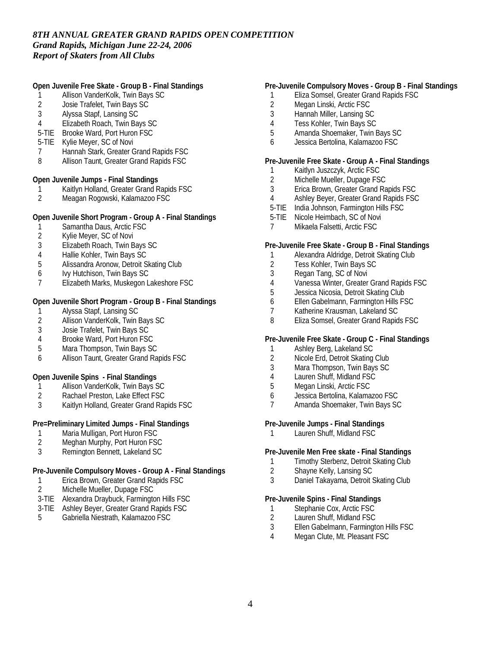**Open Juvenile Free Skate - Group B - Final Standings**

- 1 Allison VanderKolk, Twin Bays SC
- 2 Josie Trafelet, Twin Bays SC<br>3 Alvssa Stapf, Lansing SC
- 3 Alyssa Stapf, Lansing SC
- 4 Elizabeth Roach, Twin Bays SC
- 5-TIE Brooke Ward, Port Huron FSC
- 5-TIE Kylie Meyer, SC of Novi
- 7 Hannah Stark, Greater Grand Rapids FSC
- 8 Allison Taunt, Greater Grand Rapids FSC

**Open Juvenile Jumps - Final Standings**

- 1 Kaitlyn Holland, Greater Grand Rapids FSC<br>2 Meagan Rogowski, Kalamazoo FSC
- 2 Meagan Rogowski, Kalamazoo FSC

**Open Juvenile Short Program - Group A - Final Standings**

- 1 Samantha Daus, Arctic FSC
- 2 Kylie Meyer, SC of Novi
- 3 Elizabeth Roach, Twin Bays SC
- 4 Hallie Kohler, Twin Bays SC
- 5 Alissandra Aronow, Detroit Skating Club
- 6 Ivy Hutchison, Twin Bays SC
- 7 Elizabeth Marks, Muskegon Lakeshore FSC

**Open Juvenile Short Program - Group B - Final Standings**

- 
- 1 Alyssa Stapf, Lansing SC<br>2 Allison VanderKolk, Twin I 2 Allison VanderKolk, Twin Bays SC<br>3 Josie Trafelet. Twin Bays SC
- Josie Trafelet, Twin Bays SC
- 4 Brooke Ward, Port Huron FSC
- 5 Mara Thompson, Twin Bays SC
- 6 Allison Taunt, Greater Grand Rapids FSC

**Open Juvenile Spins - Final Standings**

- 1 Allison VanderKolk, Twin Bays SC
- 2 Rachael Preston, Lake Effect FSC
- 3 Kaitlyn Holland, Greater Grand Rapids FSC

**Pre=Preliminary Limited Jumps - Final Standings**

- 1 Maria Mulligan, Port Huron FSC<br>2 Meghan Murphy, Port Huron FSC
- Meghan Murphy, Port Huron FSC
- 3 Remington Bennett, Lakeland SC

**Pre-Juvenile Compulsory Moves - Group A - Final Standings**

- 1 Erica Brown, Greater Grand Rapids FSC
- 2 Michelle Mueller, Dupage FSC
- 3-TIE Alexandra Draybuck, Farmington Hills FSC
- 3-TIE Ashley Beyer, Greater Grand Rapids FSC
- 5 Gabriella Niestrath, Kalamazoo FSC

#### **Pre-Juvenile Compulsory Moves - Group B - Final Standings**

- 1 Eliza Somsel, Greater Grand Rapids FSC
- 2 Megan Linski, Arctic FSC<br>3 Hannah Miller. Lansing SC
- 3 Hannah Miller, Lansing SC
- 4 Tess Kohler, Twin Bays SC
- 5 Amanda Shoemaker, Twin Bays SC
- 6 Jessica Bertolina, Kalamazoo FSC

**Pre-Juvenile Free Skate - Group A - Final Standings**

- 1 Kaitlyn Juszczyk, Arctic FSC
- 2 Michelle Mueller, Dupage FSC<br>3 Erica Brown, Greater Grand Ra
- 3 Erica Brown, Greater Grand Rapids FSC
- 4 Ashley Beyer, Greater Grand Rapids FSC
- 5-TIE India Johnson, Farmington Hills FSC
- 5-TIE Nicole Heimbach, SC of Novi
- 7 Mikaela Falsetti, Arctic FSC

**Pre-Juvenile Free Skate - Group B - Final Standings**

- 1 Alexandra Aldridge, Detroit Skating Club
- 2 Tess Kohler, Twin Bays SC
- 3 Regan Tang, SC of Novi
- 4 Vanessa Winter, Greater Grand Rapids FSC<br>5 Jessica Nicosia, Detroit Skating Club
- Jessica Nicosia, Detroit Skating Club
- 6 Ellen Gabelmann, Farmington Hills FSC
- 7 Katherine Krausman, Lakeland SC
- 8 Eliza Somsel, Greater Grand Rapids FSC

**Pre-Juvenile Free Skate - Group C - Final Standings**

- 1 Ashley Berg, Lakeland SC
- 2 Nicole Erd, Detroit Skating Club
- 3 Mara Thompson, Twin Bays SC
- 4 Lauren Shuff, Midland FSC
- 5 Megan Linski, Arctic FSC
- 6 Jessica Bertolina, Kalamazoo FSC
- 7 Amanda Shoemaker, Twin Bays SC

**Pre-Juvenile Jumps - Final Standings**

1 Lauren Shuff, Midland FSC

**Pre-Juvenile Men Free skate - Final Standings**

- 1 Timothy Sterbenz, Detroit Skating Club
- 2 Shayne Kelly, Lansing SC
- 3 Daniel Takayama, Detroit Skating Club

**Pre-Juvenile Spins - Final Standings**

- 1 Stephanie Cox, Arctic FSC<br>2 Lauren Shuff, Midland FSC
- Lauren Shuff, Midland FSC
- 3 Ellen Gabelmann, Farmington Hills FSC
- 4 Megan Clute, Mt. Pleasant FSC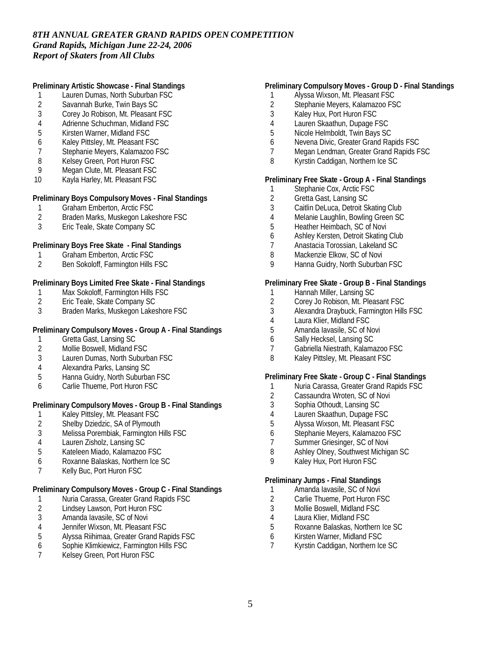**Preliminary Artistic Showcase - Final Standings**

- 1 Lauren Dumas, North Suburban FSC<br>2 Savannah Burke, Twin Bays SC
- 2 Savannah Burke, Twin Bays SC<br>3 Corey Jo Robison. Mt. Pleasant
- 3 Corey Jo Robison, Mt. Pleasant FSC
- 4 Adrienne Schuchman, Midland FSC
- 5 Kirsten Warner, Midland FSC
- 6 Kaley Pittsley, Mt. Pleasant FSC
- 7 Stephanie Meyers, Kalamazoo FSC
- 8 Kelsey Green, Port Huron FSC<br>9 Megan Clute, Mt. Pleasant FSC
- Megan Clute, Mt. Pleasant FSC
- 10 Kayla Harley, Mt. Pleasant FSC

**Preliminary Boys Compulsory Moves - Final Standings**

- 1 Graham Emberton, Arctic FSC
- 2 Braden Marks, Muskegon Lakeshore FSC
- 3 Eric Teale, Skate Company SC

**Preliminary Boys Free Skate - Final Standings**

- 1 Graham Emberton, Arctic FSC<br>2 Ben Sokoloff. Farmington Hills
- 2 Ben Sokoloff, Farmington Hills FSC

**Preliminary Boys Limited Free Skate - Final Standings**

- 1 Max Sokoloff, Farmington Hills FSC<br>2 Eric Teale, Skate Company SC
- 2 Eric Teale, Skate Company SC
- 3 Braden Marks, Muskegon Lakeshore FSC

**Preliminary Compulsory Moves - Group A - Final Standings**

- 1 Gretta Gast, Lansing SC
- 2 Mollie Boswell, Midland FSC<br>3 Lauren Dumas, North Suburk
- Lauren Dumas, North Suburban FSC
- 4 Alexandra Parks, Lansing SC
- 5 Hanna Guidry, North Suburban FSC
- 6 Carlie Thueme, Port Huron FSC

# **Preliminary Compulsory Moves - Group B - Final Standings**

- 1 Kaley Pittsley, Mt. Pleasant FSC<br>2 Shelby Dziedzic, SA of Plymouth
- Shelby Dziedzic, SA of Plymouth
- 3 Melissa Porembiak, Farmington Hills FSC
- 4 Lauren Zisholz, Lansing SC
- 5 Kateleen Miado, Kalamazoo FSC
- 6 Roxanne Balaskas, Northern Ice SC
- 7 Kelly Buc, Port Huron FSC

**Preliminary Compulsory Moves - Group C - Final Standings**

- 1 Nuria Carassa, Greater Grand Rapids FSC<br>2 Lindsey Lawson, Port Huron FSC
- 2 Lindsey Lawson, Port Huron FSC<br>3 Amanda lavasile, SC of Novi
- Amanda Iavasile, SC of Novi
- 4 Jennifer Wixson, Mt. Pleasant FSC<br>5 Alyssa Riihimaa, Greater Grand Ra
- 5 Alyssa Riihimaa, Greater Grand Rapids FSC
- 6 Sophie Klimkiewicz, Farmington Hills FSC
- 7 Kelsey Green, Port Huron FSC

#### **Preliminary Compulsory Moves - Group D - Final Standings**

- 1 Alyssa Wixson, Mt. Pleasant FSC
- 2 Stephanie Meyers, Kalamazoo FSC<br>3 Kalev Hux. Port Huron FSC
- 3 Kaley Hux, Port Huron FSC
- 4 Lauren Skaathun, Dupage FSC
- 5 Nicole Helmboldt, Twin Bays SC
- 6 Nevena Divic, Greater Grand Rapids FSC
- 7 Megan Lendman, Greater Grand Rapids FSC
- 8 Kyrstin Caddigan, Northern Ice SC

**Preliminary Free Skate - Group A - Final Standings**

- 1 Stephanie Cox, Arctic FSC<br>2 Gretta Gast, Lansing SC
- 2 Gretta Gast, Lansing SC<br>3 Caitlin DeLuca, Detroit SI
- Caitlin DeLuca, Detroit Skating Club
- 4 Melanie Laughlin, Bowling Green SC<br>5 Heather Heimbach, SC of Novi
- 5 Heather Heimbach, SC of Novi
- 6 Ashley Kersten, Detroit Skating Club
- 7 Anastacia Torossian, Lakeland SC
- 8 Mackenzie Elkow, SC of Novi
- 9 Hanna Guidry, North Suburban FSC

**Preliminary Free Skate - Group B - Final Standings**

- 1 Hannah Miller, Lansing SC<br>2 Corey Jo Robison, Mt. Plea
- Corey Jo Robison, Mt. Pleasant FSC
- 3 Alexandra Draybuck, Farmington Hills FSC
- 4 Laura Klier, Midland FSC<br>5 Amanda lavasile. SC of N
- 5 Amanda Iavasile, SC of Novi
- 6 Sally Hecksel, Lansing SC
- 7 Gabriella Niestrath, Kalamazoo FSC
- 8 Kaley Pittsley, Mt. Pleasant FSC

**Preliminary Free Skate - Group C - Final Standings**

- 1 Nuria Carassa, Greater Grand Rapids FSC
- 2 Cassaundra Wroten, SC of Novi
- 3 Sophia Othoudt, Lansing SC
- 4 Lauren Skaathun, Dupage FSC
- 5 Alyssa Wixson, Mt. Pleasant FSC
- 6 Stephanie Meyers, Kalamazoo FSC
- 7 Summer Griesinger, SC of Novi
- 8 Ashley Olney, Southwest Michigan SC
- 9 Kaley Hux, Port Huron FSC

**Preliminary Jumps - Final Standings**

- 1 Amanda Iavasile, SC of Novi
- 2 Carlie Thueme, Port Huron FSC
- 3 Mollie Boswell, Midland FSC
- 4 Laura Klier, Midland FSC
- 5 Roxanne Balaskas, Northern Ice SC
- 6 Kirsten Warner, Midland FSC
- 7 Kyrstin Caddigan, Northern Ice SC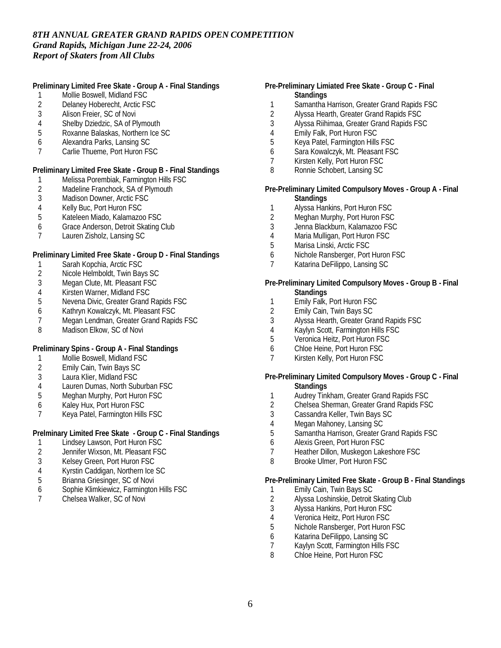**Preliminary Limited Free Skate - Group A - Final Standings**

- 1 Mollie Boswell, Midland FSC
- 2 Delaney Hoberecht, Arctic FSC<br>3 Alison Freier. SC of Novi
- Alison Freier, SC of Novi
- 4 Shelby Dziedzic, SA of Plymouth<br>5 Roxanne Balaskas, Northern Ice S
- 5 Roxanne Balaskas, Northern Ice SC
- 6 Alexandra Parks, Lansing SC
- 7 Carlie Thueme, Port Huron FSC

**Preliminary Limited Free Skate - Group B - Final Standings**

- 1 Melissa Porembiak, Farmington Hills FSC<br>2 Madeline Franchock, SA of Plymouth
- 2 Madeline Franchock, SA of Plymouth<br>3 Madison Downer, Arctic FSC
- Madison Downer, Arctic FSC
- 4 Kelly Buc, Port Huron FSC
- 5 Kateleen Miado, Kalamazoo FSC
- 6 Grace Anderson, Detroit Skating Club
- 7 Lauren Zisholz, Lansing SC

**Preliminary Limited Free Skate - Group D - Final Standings**

- 1 Sarah Kopchia, Arctic FSC
- 2 Nicole Helmboldt, Twin Bays SC<br>3 Meaan Clute, Mt. Pleasant FSC
- 3 Megan Clute, Mt. Pleasant FSC<br>4 Kirsten Warner. Midland FSC
- 4 Kirsten Warner, Midland FSC<br>5 Nevena Divic, Greater Grand
- 5 Nevena Divic, Greater Grand Rapids FSC
- 6 Kathryn Kowalczyk, Mt. Pleasant FSC
- 7 Megan Lendman, Greater Grand Rapids FSC<br>8 Madison Elkow SC of Novi
- Madison Elkow, SC of Novi

**Preliminary Spins - Group A - Final Standings**

- 1 Mollie Boswell, Midland FSC<br>2 Emily Cain. Twin Bays SC
- 2 Emily Cain, Twin Bays SC
- 3 Laura Klier, Midland FSC
- 4 Lauren Dumas, North Suburban FSC
- 5 Meghan Murphy, Port Huron FSC
- 6 Kaley Hux, Port Huron FSC
- 7 Keya Patel, Farmington Hills FSC

**Prelminary Limited Free Skate - Group C - Final Standings**

- 1 Lindsey Lawson, Port Huron FSC<br>2 Jennifer Wixson. Mt. Pleasant FSC
- 2 Jennifer Wixson, Mt. Pleasant FSC<br>3 Kelsey Green, Port Huron FSC
- 3 Kelsey Green, Port Huron FSC
- 4 Kyrstin Caddigan, Northern Ice SC
- 5 Brianna Griesinger, SC of Novi
- 6 Sophie Klimkiewicz, Farmington Hills FSC
- 7 Chelsea Walker, SC of Novi
- **Pre-Preliminary Limiated Free Skate Group C Final Standings**
	- 1 Samantha Harrison, Greater Grand Rapids FSC<br>2 Alvssa Hearth. Greater Grand Rapids FSC
- 2 Alyssa Hearth, Greater Grand Rapids FSC
- 3 Alyssa Riihimaa, Greater Grand Rapids FSC
- 4 Emily Falk, Port Huron FSC<br>5 Keva Patel, Farmington Hills
- 5 Keya Patel, Farmington Hills FSC
- 6 Sara Kowalczyk, Mt. Pleasant FSC
- 7 Kirsten Kelly, Port Huron FSC
- 8 Ronnie Schobert, Lansing SC

**Pre-Preliminary Limited Compulsory Moves - Group A - Final Standings**

- 1 Alyssa Hankins, Port Huron FSC
- 2 Meghan Murphy, Port Huron FSC
- 3 Jenna Blackburn, Kalamazoo FSC
- 4 Maria Mulligan, Port Huron FSC<br>5 Marisa Linski Arctic FSC
- 5 Marisa Linski, Arctic FSC
- 6 Nichole Ransberger, Port Huron FSC
- 7 Katarina DeFilippo, Lansing SC

**Pre-Preliminary Limited Compulsory Moves - Group B - Final Standings**

- 1 Emily Falk, Port Huron FSC
- 
- 2 Emily Cain, Twin Bays SC<br>3 Alvssa Hearth, Greater Gra 3 Alyssa Hearth, Greater Grand Rapids FSC
- 
- 4 Kaylyn Scott, Farmington Hills FSC<br>5 Veronica Heitz, Port Huron FSC 5 Veronica Heitz, Port Huron FSC
- 6 Chloe Heine, Port Huron FSC
- 7 Kirsten Kelly, Port Huron FSC
- 

**Pre-Preliminary Limited Compulsory Moves - Group C - Final Standings**

- 1 Audrey Tinkham, Greater Grand Rapids FSC
- 2 Chelsea Sherman, Greater Grand Rapids FSC<br>3 Cassandra Keller. Twin Bavs SC
- 3 Cassandra Keller, Twin Bays SC
- 4 Megan Mahoney, Lansing SC
- 5 Samantha Harrison, Greater Grand Rapids FSC
- 6 Alexis Green, Port Huron FSC
- 7 Heather Dillon, Muskegon Lakeshore FSC
- 8 Brooke Ulmer, Port Huron FSC

**Pre-Preliminary Limited Free Skate - Group B - Final Standings**

- 1 Emily Cain, Twin Bays SC
- 2 Alyssa Loshinskie, Detroit Skating Club
- 3 Alyssa Hankins, Port Huron FSC
- 4 Veronica Heitz, Port Huron FSC
- 5 Nichole Ransberger, Port Huron FSC
- 6 Katarina DeFilippo, Lansing SC
- 7 Kaylyn Scott, Farmington Hills FSC<br>8 Chloe Heine, Port Huron FSC
- Chloe Heine, Port Huron FSC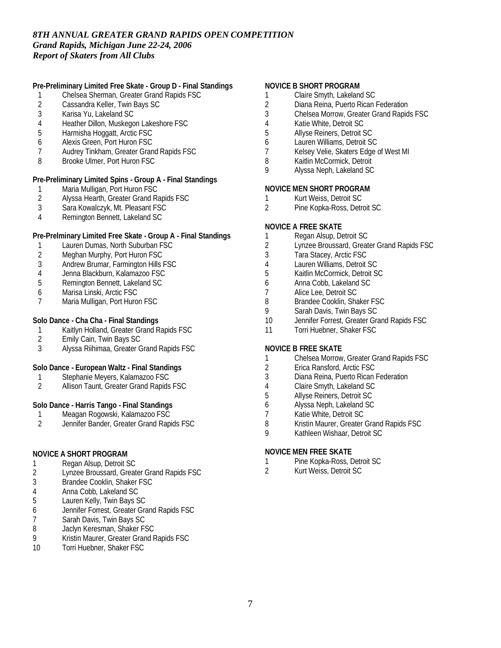**Pre-Preliminary Limited Free Skate - Group D - Final Standings**

- 1 Chelsea Sherman, Greater Grand Rapids FSC
- 2 Cassandra Keller, Twin Bays SC<br>3 Karisa Yu. Lakeland SC
- 3 Karisa Yu, Lakeland SC
- 4 Heather Dillon, Muskegon Lakeshore FSC
- 5 Harmisha Hoggatt, Arctic FSC
- 6 Alexis Green, Port Huron FSC
- 7 Audrey Tinkham, Greater Grand Rapids FSC
- 8 Brooke Ulmer, Port Huron FSC

**Pre-Preliminary Limited Spins - Group A - Final Standings**

- 1 Maria Mulligan, Port Huron FSC<br>2 Alyssa Hearth, Greater Grand Ra
- 2 Alyssa Hearth, Greater Grand Rapids FSC<br>3 Sara Kowalczyk. Mt. Pleasant FSC
- Sara Kowalczyk, Mt. Pleasant FSC
- 4 Remington Bennett, Lakeland SC

## **Pre-Prelminary Limited Free Skate - Group A - Final Standings**

- 1 Lauren Dumas, North Suburban FSC
- 2 Meghan Murphy, Port Huron FSC
- 3 Andrew Brumar, Farmington Hills FSC
- 4 Jenna Blackburn, Kalamazoo FSC
- 5 Remington Bennett, Lakeland SC
- 6 Marisa Linski, Arctic FSC
- Maria Mulligan, Port Huron FSC

# **Solo Dance - Cha Cha - Final Standings**

- 1 Kaitlyn Holland, Greater Grand Rapids FSC<br>2 Emily Cain. Twin Bays SC
- 2 Emily Cain, Twin Bays SC
- 3 Alyssa Riihimaa, Greater Grand Rapids FSC

**Solo Dance - European Waltz - Final Standings**

- 1 Stephanie Meyers, Kalamazoo FSC<br>2 Allison Taunt. Greater Grand Rapids
- 2 Allison Taunt, Greater Grand Rapids FSC

**Solo Dance - Harris Tango - Final Standings**

- 1 Meagan Rogowski, Kalamazoo FSC<br>2 Jennifer Bander. Greater Grand Rapi
- 2 Jennifer Bander, Greater Grand Rapids FSC

#### **NOVICE A SHORT PROGRAM**

- 1 Regan Alsup, Detroit SC<br>2 Lynzee Broussard, Great
- 2 Lynzee Broussard, Greater Grand Rapids FSC
- 3 Brandee Cooklin, Shaker FSC
- 4 Anna Cobb, Lakeland SC
- 5 Lauren Kelly, Twin Bays SC
- 6 Jennifer Forrest, Greater Grand Rapids FSC
- 7 Sarah Davis, Twin Bays SC
- 8 Jaclyn Keresman, Shaker FSC
- 9 Kristin Maurer, Greater Grand Rapids FSC
- 10 Torri Huebner, Shaker FSC

#### **NOVICE B SHORT PROGRAM**

- 1 Claire Smyth, Lakeland SC
- 2 Diana Reina, Puerto Rican Federation<br>3 Chelsea Morrow. Greater Grand Rapid
- 3 Chelsea Morrow, Greater Grand Rapids FSC
- 4 Katie White, Detroit SC<br>5 Allyse Reiners, Detroit 9
- 5 Allyse Reiners, Detroit SC
- 6 Lauren Williams, Detroit SC
- 7 Kelsey Velie, Skaters Edge of West MI
- 8 Kaitlin McCormick, Detroit<br>9 Alyssa Neph Lakeland SC
- 9 Alyssa Neph, Lakeland SC

# **NOVICE MEN SHORT PROGRAM**

- 1 Kurt Weiss, Detroit SC<br>2 Pine Kopka-Ross, Detr
- 2 Pine Kopka-Ross, Detroit SC

### **NOVICE A FREE SKATE**

- 1 Regan Alsup, Detroit SC
- 2 Lynzee Broussard, Greater Grand Rapids FSC
- 3 Tara Stacey, Arctic FSC
- 4 Lauren Williams, Detroit SC<br>5 Kaitlin McCormick Detroit S
- 5 Kaitlin McCormick, Detroit SC
- 6 Anna Cobb, Lakeland SC<br>7 Alice Lee, Detroit SC
- 7 Alice Lee, Detroit SC<br>8 Brandee Cooklin, Sha
- 8 Brandee Cooklin, Shaker FSC
- 9 Sarah Davis, Twin Bays SC
- 10 Jennifer Forrest, Greater Grand Rapids FSC
- 11 Torri Huebner, Shaker FSC

#### **NOVICE B FREE SKATE**

- 1 Chelsea Morrow, Greater Grand Rapids FSC<br>2 Erica Ransford. Arctic FSC
- 2 Erica Ransford, Arctic FSC
- 3 Diana Reina, Puerto Rican Federation
- 4 Claire Smyth, Lakeland SC<br>5 Allyse Reiners, Detroit SC
- 5 Allyse Reiners, Detroit SC
- 6 Alyssa Neph, Lakeland SC
- 7 Katie White, Detroit SC<br>8 Kristin Maurer. Greater
- 8 Kristin Maurer, Greater Grand Rapids FSC
- 9 Kathleen Wishaar, Detroit SC

### **NOVICE MEN FREE SKATE**

- 1 Pine Kopka-Ross, Detroit SC
- 2 Kurt Weiss, Detroit SC